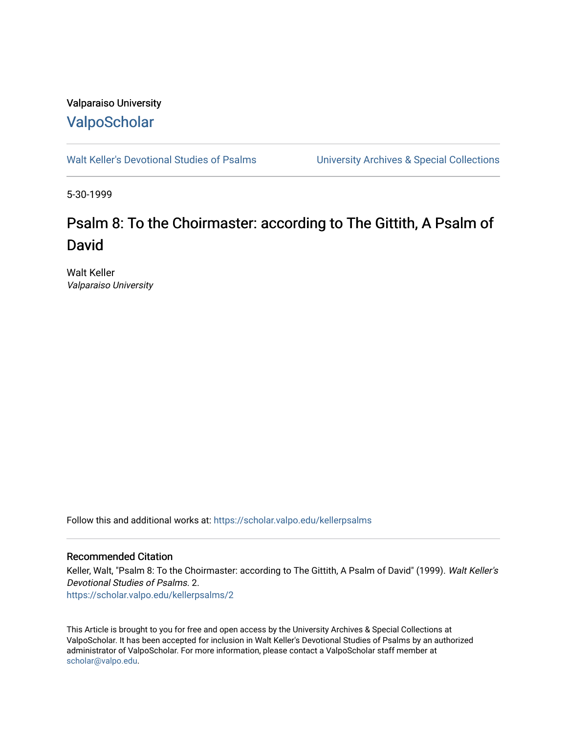## Valparaiso University [ValpoScholar](https://scholar.valpo.edu/)

[Walt Keller's Devotional Studies of Psalms](https://scholar.valpo.edu/kellerpsalms) University Archives & Special Collections

5-30-1999

# Psalm 8: To the Choirmaster: according to The Gittith, A Psalm of David

Walt Keller Valparaiso University

Follow this and additional works at: [https://scholar.valpo.edu/kellerpsalms](https://scholar.valpo.edu/kellerpsalms?utm_source=scholar.valpo.edu%2Fkellerpsalms%2F2&utm_medium=PDF&utm_campaign=PDFCoverPages) 

#### Recommended Citation

Keller, Walt, "Psalm 8: To the Choirmaster: according to The Gittith, A Psalm of David" (1999). Walt Keller's Devotional Studies of Psalms. 2. [https://scholar.valpo.edu/kellerpsalms/2](https://scholar.valpo.edu/kellerpsalms/2?utm_source=scholar.valpo.edu%2Fkellerpsalms%2F2&utm_medium=PDF&utm_campaign=PDFCoverPages) 

This Article is brought to you for free and open access by the University Archives & Special Collections at ValpoScholar. It has been accepted for inclusion in Walt Keller's Devotional Studies of Psalms by an authorized administrator of ValpoScholar. For more information, please contact a ValpoScholar staff member at [scholar@valpo.edu](mailto:scholar@valpo.edu).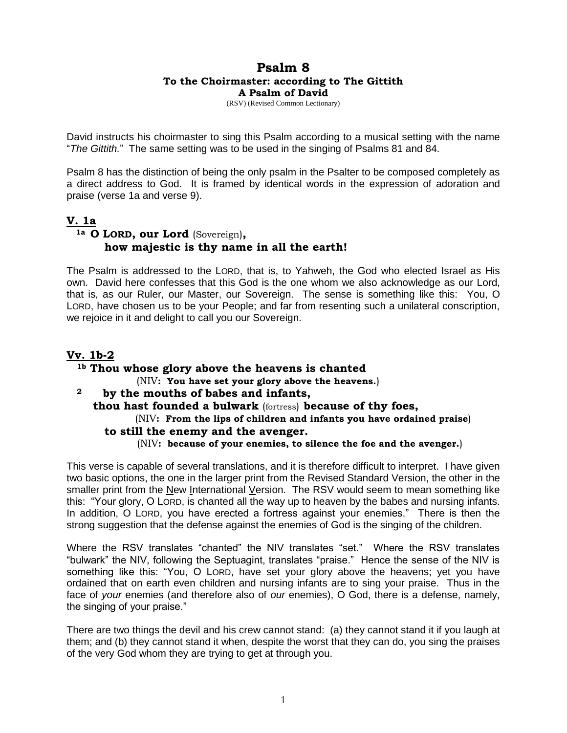## **Psalm 8 To the Choirmaster: according to The Gittith A Psalm of David**

(RSV) (Revised Common Lectionary)

David instructs his choirmaster to sing this Psalm according to a musical setting with the name "*The Gittith.*" The same setting was to be used in the singing of Psalms 81 and 84.

Psalm 8 has the distinction of being the only psalm in the Psalter to be composed completely as a direct address to God. It is framed by identical words in the expression of adoration and praise (verse 1a and verse 9).

## **V. 1a**

## **1a O LORD, our Lord** (Sovereign)**, how majestic is thy name in all the earth!**

The Psalm is addressed to the LORD, that is, to Yahweh, the God who elected Israel as His own. David here confesses that this God is the one whom we also acknowledge as our Lord, that is, as our Ruler, our Master, our Sovereign. The sense is something like this: You, O LORD, have chosen us to be your People; and far from resenting such a unilateral conscription, we rejoice in it and delight to call you our Sovereign.

#### **Vv. 1b-2 1b Thou whose glory above the heavens is chanted**  (NIV**: You have set your glory above the heavens.**) **<sup>2</sup> by the mouths of babes and infants, thou hast founded a bulwark** (fortress) **because of thy foes,** (NIV**: From the lips of children and infants you have ordained praise**)  **to still the enemy and the avenger.** (NIV**: because of your enemies, to silence the foe and the avenger.**)

This verse is capable of several translations, and it is therefore difficult to interpret. I have given two basic options, the one in the larger print from the Revised Standard Version, the other in the smaller print from the New International Version. The RSV would seem to mean something like this: "Your glory, O LORD, is chanted all the way up to heaven by the babes and nursing infants. In addition, O LORD, you have erected a fortress against your enemies." There is then the strong suggestion that the defense against the enemies of God is the singing of the children.

Where the RSV translates "chanted" the NIV translates "set." Where the RSV translates "bulwark" the NIV, following the Septuagint, translates "praise." Hence the sense of the NIV is something like this: "You, O LORD, have set your glory above the heavens; yet you have ordained that on earth even children and nursing infants are to sing your praise. Thus in the face of *your* enemies (and therefore also of *our* enemies), O God, there is a defense, namely, the singing of your praise."

There are two things the devil and his crew cannot stand: (a) they cannot stand it if you laugh at them; and (b) they cannot stand it when, despite the worst that they can do, you sing the praises of the very God whom they are trying to get at through you.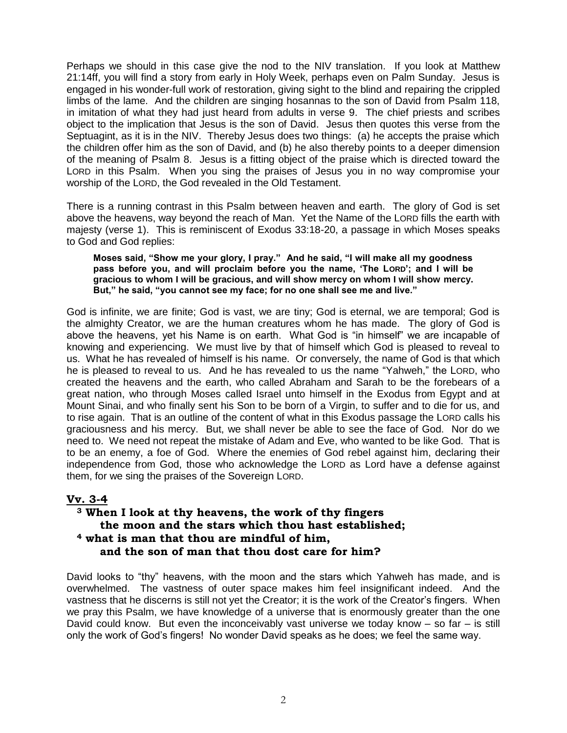Perhaps we should in this case give the nod to the NIV translation. If you look at Matthew 21:14ff, you will find a story from early in Holy Week, perhaps even on Palm Sunday. Jesus is engaged in his wonder-full work of restoration, giving sight to the blind and repairing the crippled limbs of the lame. And the children are singing hosannas to the son of David from Psalm 118, in imitation of what they had just heard from adults in verse 9. The chief priests and scribes object to the implication that Jesus is the son of David. Jesus then quotes this verse from the Septuagint, as it is in the NIV. Thereby Jesus does two things: (a) he accepts the praise which the children offer him as the son of David, and (b) he also thereby points to a deeper dimension of the meaning of Psalm 8. Jesus is a fitting object of the praise which is directed toward the LORD in this Psalm. When you sing the praises of Jesus you in no way compromise your worship of the LORD, the God revealed in the Old Testament.

There is a running contrast in this Psalm between heaven and earth. The glory of God is set above the heavens, way beyond the reach of Man. Yet the Name of the LORD fills the earth with majesty (verse 1). This is reminiscent of Exodus 33:18-20, a passage in which Moses speaks to God and God replies:

**Moses said, "Show me your glory, I pray." And he said, "I will make all my goodness pass before you, and will proclaim before you the name, 'The LORD'; and I will be gracious to whom I will be gracious, and will show mercy on whom I will show mercy. But," he said, "you cannot see my face; for no one shall see me and live."** 

God is infinite, we are finite; God is vast, we are tiny; God is eternal, we are temporal; God is the almighty Creator, we are the human creatures whom he has made. The glory of God is above the heavens, yet his Name is on earth. What God is "in himself" we are incapable of knowing and experiencing. We must live by that of himself which God is pleased to reveal to us. What he has revealed of himself is his name. Or conversely, the name of God is that which he is pleased to reveal to us. And he has revealed to us the name "Yahweh," the LORD, who created the heavens and the earth, who called Abraham and Sarah to be the forebears of a great nation, who through Moses called Israel unto himself in the Exodus from Egypt and at Mount Sinai, and who finally sent his Son to be born of a Virgin, to suffer and to die for us, and to rise again. That is an outline of the content of what in this Exodus passage the LORD calls his graciousness and his mercy. But, we shall never be able to see the face of God. Nor do we need to. We need not repeat the mistake of Adam and Eve, who wanted to be like God. That is to be an enemy, a foe of God. Where the enemies of God rebel against him, declaring their independence from God, those who acknowledge the LORD as Lord have a defense against them, for we sing the praises of the Sovereign LORD.

#### **Vv. 3-4**

## **<sup>3</sup> When I look at thy heavens, the work of thy fingers the moon and the stars which thou hast established; <sup>4</sup> what is man that thou are mindful of him, and the son of man that thou dost care for him?**

David looks to "thy" heavens, with the moon and the stars which Yahweh has made, and is overwhelmed. The vastness of outer space makes him feel insignificant indeed. And the vastness that he discerns is still not yet the Creator; it is the work of the Creator's fingers. When we pray this Psalm, we have knowledge of a universe that is enormously greater than the one David could know. But even the inconceivably vast universe we today know  $-$  so far  $-$  is still only the work of God's fingers! No wonder David speaks as he does; we feel the same way.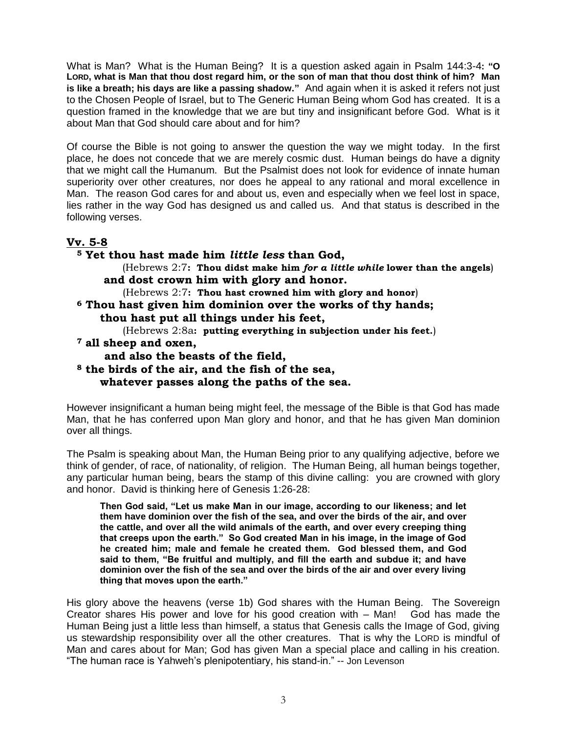What is Man? What is the Human Being? It is a question asked again in Psalm 144:3-4**: "O LORD, what is Man that thou dost regard him, or the son of man that thou dost think of him? Man is like a breath; his days are like a passing shadow."** And again when it is asked it refers not just to the Chosen People of Israel, but to The Generic Human Being whom God has created. It is a question framed in the knowledge that we are but tiny and insignificant before God. What is it about Man that God should care about and for him?

Of course the Bible is not going to answer the question the way we might today. In the first place, he does not concede that we are merely cosmic dust. Human beings do have a dignity that we might call the Humanum. But the Psalmist does not look for evidence of innate human superiority over other creatures, nor does he appeal to any rational and moral excellence in Man. The reason God cares for and about us, even and especially when we feel lost in space, lies rather in the way God has designed us and called us. And that status is described in the following verses.

## **Vv. 5-8**

**<sup>5</sup> Yet thou hast made him** *little less* **than God,** (Hebrews 2:7**: Thou didst make him** *for a little while* **lower than the angels**) **and dost crown him with glory and honor.** (Hebrews 2:7**: Thou hast crowned him with glory and honor**) **<sup>6</sup> Thou hast given him dominion over the works of thy hands; thou hast put all things under his feet,** (Hebrews 2:8a**: putting everything in subjection under his feet.**) **<sup>7</sup> all sheep and oxen, and also the beasts of the field, <sup>8</sup> the birds of the air, and the fish of the sea, whatever passes along the paths of the sea.**

However insignificant a human being might feel, the message of the Bible is that God has made Man, that he has conferred upon Man glory and honor, and that he has given Man dominion over all things.

The Psalm is speaking about Man, the Human Being prior to any qualifying adjective, before we think of gender, of race, of nationality, of religion. The Human Being, all human beings together, any particular human being, bears the stamp of this divine calling: you are crowned with glory and honor. David is thinking here of Genesis 1:26-28:

**Then God said, "Let us make Man in our image, according to our likeness; and let them have dominion over the fish of the sea, and over the birds of the air, and over the cattle, and over all the wild animals of the earth, and over every creeping thing that creeps upon the earth." So God created Man in his image, in the image of God he created him; male and female he created them. God blessed them, and God said to them, "Be fruitful and multiply, and fill the earth and subdue it; and have dominion over the fish of the sea and over the birds of the air and over every living thing that moves upon the earth."** 

His glory above the heavens (verse 1b) God shares with the Human Being. The Sovereign Creator shares His power and love for his good creation with – Man! God has made the Human Being just a little less than himself, a status that Genesis calls the Image of God, giving us stewardship responsibility over all the other creatures. That is why the LORD is mindful of Man and cares about for Man; God has given Man a special place and calling in his creation. "The human race is Yahweh's plenipotentiary, his stand-in." -- Jon Levenson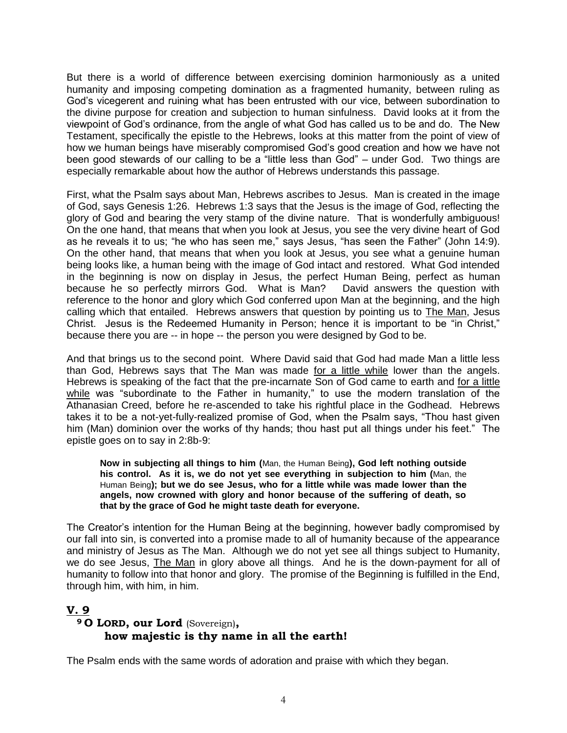But there is a world of difference between exercising dominion harmoniously as a united humanity and imposing competing domination as a fragmented humanity, between ruling as God's vicegerent and ruining what has been entrusted with our vice, between subordination to the divine purpose for creation and subjection to human sinfulness. David looks at it from the viewpoint of God's ordinance, from the angle of what God has called us to be and do. The New Testament, specifically the epistle to the Hebrews, looks at this matter from the point of view of how we human beings have miserably compromised God's good creation and how we have not been good stewards of our calling to be a "little less than God" – under God. Two things are especially remarkable about how the author of Hebrews understands this passage.

First, what the Psalm says about Man, Hebrews ascribes to Jesus. Man is created in the image of God, says Genesis 1:26. Hebrews 1:3 says that the Jesus is the image of God, reflecting the glory of God and bearing the very stamp of the divine nature. That is wonderfully ambiguous! On the one hand, that means that when you look at Jesus, you see the very divine heart of God as he reveals it to us; "he who has seen me," says Jesus, "has seen the Father" (John 14:9). On the other hand, that means that when you look at Jesus, you see what a genuine human being looks like, a human being with the image of God intact and restored. What God intended in the beginning is now on display in Jesus, the perfect Human Being, perfect as human because he so perfectly mirrors God. What is Man? David answers the question with reference to the honor and glory which God conferred upon Man at the beginning, and the high calling which that entailed. Hebrews answers that question by pointing us to The Man, Jesus Christ. Jesus is the Redeemed Humanity in Person; hence it is important to be "in Christ," because there you are -- in hope -- the person you were designed by God to be.

And that brings us to the second point. Where David said that God had made Man a little less than God, Hebrews says that The Man was made for a little while lower than the angels. Hebrews is speaking of the fact that the pre-incarnate Son of God came to earth and for a little while was "subordinate to the Father in humanity," to use the modern translation of the Athanasian Creed, before he re-ascended to take his rightful place in the Godhead. Hebrews takes it to be a not-yet-fully-realized promise of God, when the Psalm says, "Thou hast given him (Man) dominion over the works of thy hands; thou hast put all things under his feet." The epistle goes on to say in 2:8b-9:

**Now in subjecting all things to him (**Man, the Human Being**), God left nothing outside his control. As it is, we do not yet see everything in subjection to him (**Man, the Human Being**); but we do see Jesus, who for a little while was made lower than the angels, now crowned with glory and honor because of the suffering of death, so that by the grace of God he might taste death for everyone.**

The Creator's intention for the Human Being at the beginning, however badly compromised by our fall into sin, is converted into a promise made to all of humanity because of the appearance and ministry of Jesus as The Man. Although we do not yet see all things subject to Humanity, we do see Jesus, The Man in glory above all things. And he is the down-payment for all of humanity to follow into that honor and glory. The promise of the Beginning is fulfilled in the End, through him, with him, in him.

### **V. 9 <sup>9</sup> O LORD, our Lord** (Sovereign)**, how majestic is thy name in all the earth!**

The Psalm ends with the same words of adoration and praise with which they began.